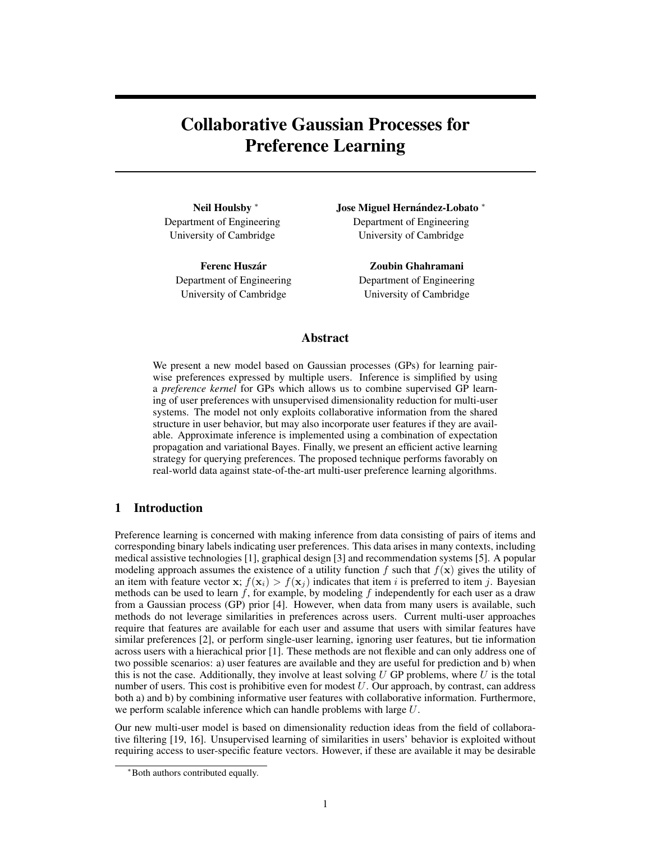# Collaborative Gaussian Processes for Preference Learning

Neil Houlsby<sup>\*</sup> Department of Engineering University of Cambridge

> Ferenc Huszár Department of Engineering University of Cambridge

Jose Miguel Hernández-Lobato \* Department of Engineering University of Cambridge

> Zoubin Ghahramani Department of Engineering University of Cambridge

## Abstract

We present a new model based on Gaussian processes (GPs) for learning pairwise preferences expressed by multiple users. Inference is simplified by using a *preference kernel* for GPs which allows us to combine supervised GP learning of user preferences with unsupervised dimensionality reduction for multi-user systems. The model not only exploits collaborative information from the shared structure in user behavior, but may also incorporate user features if they are available. Approximate inference is implemented using a combination of expectation propagation and variational Bayes. Finally, we present an efficient active learning strategy for querying preferences. The proposed technique performs favorably on real-world data against state-of-the-art multi-user preference learning algorithms.

# 1 Introduction

Preference learning is concerned with making inference from data consisting of pairs of items and corresponding binary labels indicating user preferences. This data arises in many contexts, including medical assistive technologies [1], graphical design [3] and recommendation systems [5]. A popular modeling approach assumes the existence of a utility function f such that  $f(x)$  gives the utility of an item with feature vector x;  $f(\mathbf{x}_i) > f(\mathbf{x}_j)$  indicates that item i is preferred to item j. Bayesian methods can be used to learn  $f$ , for example, by modeling  $f$  independently for each user as a draw from a Gaussian process (GP) prior [4]. However, when data from many users is available, such methods do not leverage similarities in preferences across users. Current multi-user approaches require that features are available for each user and assume that users with similar features have similar preferences [2], or perform single-user learning, ignoring user features, but tie information across users with a hierachical prior [1]. These methods are not flexible and can only address one of two possible scenarios: a) user features are available and they are useful for prediction and b) when this is not the case. Additionally, they involve at least solving  $U$  GP problems, where  $U$  is the total number of users. This cost is prohibitive even for modest  $U$ . Our approach, by contrast, can address both a) and b) by combining informative user features with collaborative information. Furthermore, we perform scalable inference which can handle problems with large U.

Our new multi-user model is based on dimensionality reduction ideas from the field of collaborative filtering [19, 16]. Unsupervised learning of similarities in users' behavior is exploited without requiring access to user-specific feature vectors. However, if these are available it may be desirable

<sup>∗</sup>Both authors contributed equally.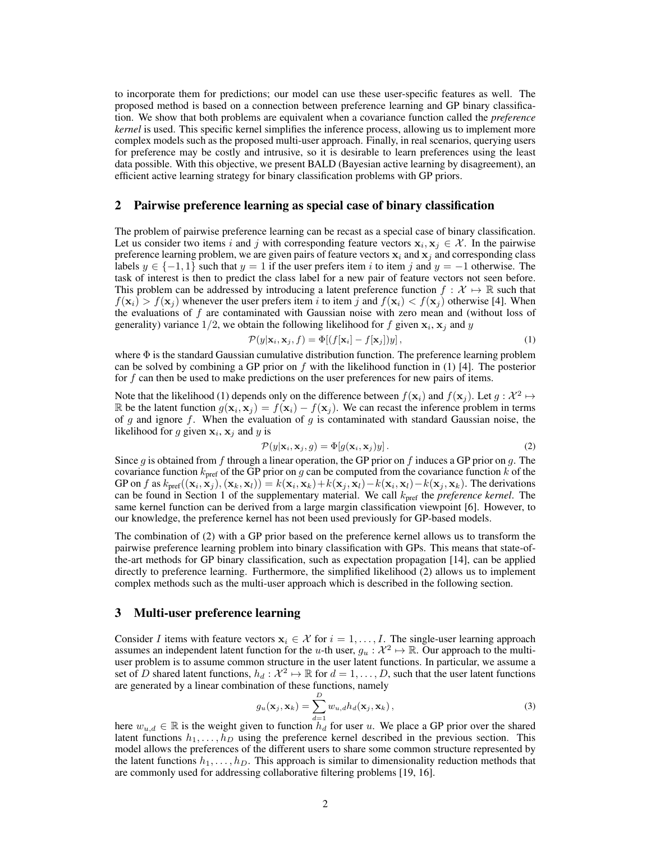to incorporate them for predictions; our model can use these user-specific features as well. The proposed method is based on a connection between preference learning and GP binary classification. We show that both problems are equivalent when a covariance function called the *preference kernel* is used. This specific kernel simplifies the inference process, allowing us to implement more complex models such as the proposed multi-user approach. Finally, in real scenarios, querying users for preference may be costly and intrusive, so it is desirable to learn preferences using the least data possible. With this objective, we present BALD (Bayesian active learning by disagreement), an efficient active learning strategy for binary classification problems with GP priors.

## 2 Pairwise preference learning as special case of binary classification

The problem of pairwise preference learning can be recast as a special case of binary classification. Let us consider two items i and j with corresponding feature vectors  $x_i, x_j \in \mathcal{X}$ . In the pairwise preference learning problem, we are given pairs of feature vectors  $x_i$  and  $x_j$  and corresponding class labels  $y \in \{-1, 1\}$  such that  $y = 1$  if the user prefers item i to item j and  $y = -1$  otherwise. The task of interest is then to predict the class label for a new pair of feature vectors not seen before. This problem can be addressed by introducing a latent preference function  $f : \mathcal{X} \mapsto \mathbb{R}$  such that  $f(\mathbf{x}_i) > f(\mathbf{x}_j)$  whenever the user prefers item i to item j and  $f(\mathbf{x}_i) < f(\mathbf{x}_j)$  otherwise [4]. When the evaluations of  $f$  are contaminated with Gaussian noise with zero mean and (without loss of generality) variance  $1/2$ , we obtain the following likelihood for f given  $x_i$ ,  $x_j$  and y

$$
\mathcal{P}(y|\mathbf{x}_i, \mathbf{x}_j, f) = \Phi[(f[\mathbf{x}_i] - f[\mathbf{x}_j])y],
$$
\n(1)

where  $\Phi$  is the standard Gaussian cumulative distribution function. The preference learning problem can be solved by combining a GP prior on  $f$  with the likelihood function in (1) [4]. The posterior for f can then be used to make predictions on the user preferences for new pairs of items.

Note that the likelihood (1) depends only on the difference between  $f(\mathbf{x}_i)$  and  $f(\mathbf{x}_j)$ . Let  $g: \mathcal{X}^2 \mapsto$ R be the latent function  $g(\mathbf{x}_i, \mathbf{x}_j) = f(\mathbf{x}_i) - f(\mathbf{x}_j)$ . We can recast the inference problem in terms of g and ignore f. When the evaluation of g is contaminated with standard Gaussian noise, the likelihood for g given  $x_i$ ,  $x_j$  and y is

$$
\mathcal{P}(y|\mathbf{x}_i, \mathbf{x}_j, g) = \Phi[g(\mathbf{x}_i, \mathbf{x}_j)y].
$$
\n(2)

Since g is obtained from f through a linear operation, the GP prior on f induces a GP prior on g. The covariance function  $k_{\text{pref}}$  of the GP prior on g can be computed from the covariance function k of the GP on f as  $k_{\text{pref}}((\mathbf{x}_i, \mathbf{x}_j), (\mathbf{x}_k, \mathbf{x}_l)) = k(\mathbf{x}_i, \mathbf{x}_k) + k(\mathbf{x}_j, \mathbf{x}_l) - k(\mathbf{x}_i, \mathbf{x}_l) - k(\mathbf{x}_j, \mathbf{x}_k)$ . The derivations can be found in Section 1 of the supplementary material. We call kpref the *preference kernel*. The same kernel function can be derived from a large margin classification viewpoint [6]. However, to our knowledge, the preference kernel has not been used previously for GP-based models.

The combination of (2) with a GP prior based on the preference kernel allows us to transform the pairwise preference learning problem into binary classification with GPs. This means that state-ofthe-art methods for GP binary classification, such as expectation propagation [14], can be applied directly to preference learning. Furthermore, the simplified likelihood (2) allows us to implement complex methods such as the multi-user approach which is described in the following section.

# 3 Multi-user preference learning

Consider I items with feature vectors  $x_i \in \mathcal{X}$  for  $i = 1, \ldots, I$ . The single-user learning approach assumes an independent latent function for the u-th user,  $g_u : \mathcal{X}^2 \mapsto \mathbb{R}$ . Our approach to the multiuser problem is to assume common structure in the user latent functions. In particular, we assume a set of D shared latent functions,  $h_d: \mathcal{X}^2 \mapsto \mathbb{R}$  for  $d = 1, \ldots, D$ , such that the user latent functions are generated by a linear combination of these functions, namely

$$
g_u(\mathbf{x}_j, \mathbf{x}_k) = \sum_{d=1}^D w_{u,d} h_d(\mathbf{x}_j, \mathbf{x}_k),
$$
\n(3)

here  $w_{u,d} \in \mathbb{R}$  is the weight given to function  $h_d$  for user u. We place a GP prior over the shared latent functions  $h_1, \ldots, h_D$  using the preference kernel described in the previous section. This model allows the preferences of the different users to share some common structure represented by the latent functions  $h_1, \ldots, h_D$ . This approach is similar to dimensionality reduction methods that are commonly used for addressing collaborative filtering problems [19, 16].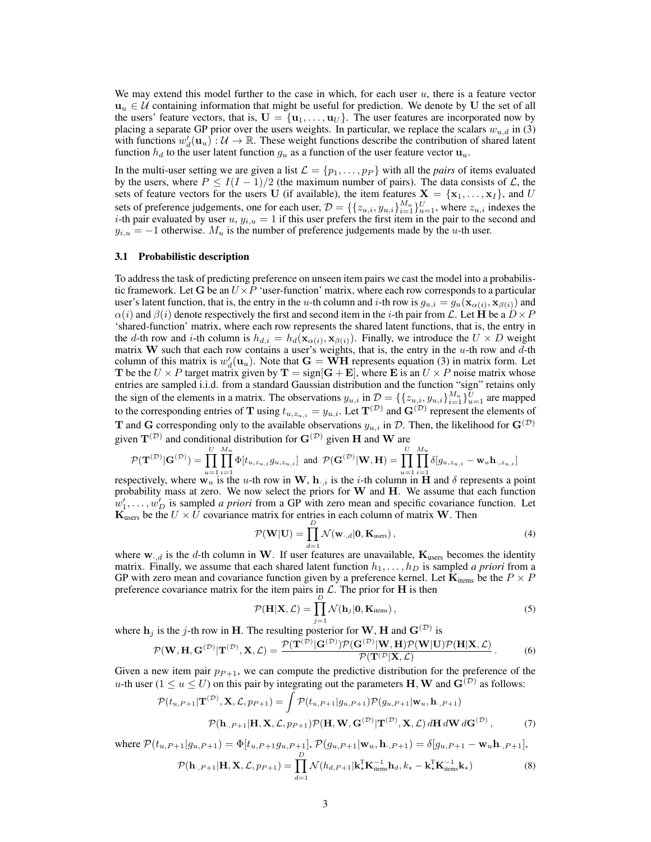We may extend this model further to the case in which, for each user  $u$ , there is a feature vector  $u_u \in U$  containing information that might be useful for prediction. We denote by U the set of all the users' feature vectors, that is,  $\mathbf{U} = {\mathbf{u}_1, \dots, \mathbf{u}_U}$ . The user features are incorporated now by placing a separate GP prior over the users weights. In particular, we replace the scalars  $w_{u,d}$  in (3) with functions  $w'_d(\mathbf{u}_u) : \mathcal{U} \to \mathbb{R}$ . These weight functions describe the contribution of shared latent function  $h_d$  to the user latent function  $g_u$  as a function of the user feature vector  $u_u$ .

In the multi-user setting we are given a list  $\mathcal{L} = \{p_1, \ldots, p_P\}$  with all the *pairs* of items evaluated by the users, where  $P \leq I(I-1)/2$  (the maximum number of pairs). The data consists of  $\mathcal{L}$ , the sets of feature vectors for the users U (if available), the item features  $X = \{x_1, \ldots, x_I\}$ , and U sets of preference judgements, one for each user,  $\mathcal{D} = \{\{z_{u,i}, y_{u,i}\}_{i=1}^{M_u}\}_{u=1}^U$ , where  $z_{u,i}$  indexes the *i*-th pair evaluated by user  $u, y_{i,u} = 1$  if this user prefers the first item in the pair to the second and  $y_{i,u} = -1$  otherwise.  $M_u$  is the number of preference judgements made by the u-th user.

#### 3.1 Probabilistic description

To address the task of predicting preference on unseen item pairs we cast the model into a probabilistic framework. Let G be an  $U \times P$  'user-function' matrix, where each row corresponds to a particular user's latent function, that is, the entry in the u-th column and i-th row is  $g_{u,i} = g_u(\mathbf{x}_{\alpha(i)}, \mathbf{x}_{\beta(i)})$  and  $\alpha(i)$  and  $\beta(i)$  denote respectively the first and second item in the *i*-th pair from L. Let **H** be a  $D \times P$ 'shared-function' matrix, where each row represents the shared latent functions, that is, the entry in the d-th row and *i*-th column is  $h_{d,i} = h_d(\mathbf{x}_{\alpha(i)}, \mathbf{x}_{\beta(i)})$ . Finally, we introduce the  $U \times D$  weight matrix W such that each row contains a user's weights, that is, the entry in the u-th row and  $\overline{d}$ -th column of this matrix is  $w'_d(\mathbf{u}_u)$ . Note that  $\mathbf{G} = \mathbf{WH}$  represents equation (3) in matrix form. Let T be the  $U \times P$  target matrix given by  $T = sign[G + E]$ , where E is an  $U \times P$  noise matrix whose entries are sampled i.i.d. from a standard Gaussian distribution and the function "sign" retains only the sign of the elements in a matrix. The observations  $y_{u,i}$  in  $\mathcal{D} = \{\{z_{u,i}, y_{u,i}\}_{i=1}^{M_u}\}_{u=1}^U$  are mapped to the corresponding entries of T using  $t_{u,z_{u,i}} = y_{u,i}$ . Let  $T^{(\mathcal{D})}$  and  $G^{(\mathcal{D})}$  represent the elements of T and G corresponding only to the available observations  $y_{u,i}$  in D. Then, the likelihood for  $\mathbf{G}^{(\mathcal{D})}$ given  $T^{(\mathcal{D})}$  and conditional distribution for  $G^{(\mathcal{D})}$  given H and W are

$$
\mathcal{P}(\mathbf{T}^{(\mathcal{D})}|\mathbf{G}^{(\mathcal{D})})=\prod_{u=1}^U\prod_{i=1}^{M_u}\Phi[t_{u,z_{u,i}}g_{u,z_{u,i}}]\ \ \text{and}\ \ \mathcal{P}(\mathbf{G}^{(\mathcal{D})}|\mathbf{W},\mathbf{H})=\prod_{u=1}^U\prod_{i=1}^{M_u}\delta[g_{u,z_{u,i}}-\mathbf{w}_u\mathbf{h}_{\cdot,z_{u,i}}]
$$

respectively, where  $\mathbf{w}_u$  is the u-th row in  $\mathbf{W}$ ,  $\mathbf{h}_{\cdot,i}$  is the i-th column in  $\mathbf{H}$  and  $\delta$  represents a point probability mass at zero. We now select the priors for W and H. We assume that each function  $w'_1, \ldots, w'_D$  is sampled *a priori* from a GP with zero mean and specific covariance function. Let  $\mathbf{K}_{\text{users}}$  be the  $U \times U$  covariance matrix for entries in each column of matrix W. Then

$$
\mathcal{P}(\mathbf{W}|\mathbf{U}) = \prod_{d=1}^{D} \mathcal{N}(\mathbf{w}_{\cdot,d}|\mathbf{0}, \mathbf{K}_{\text{users}}),
$$
\n(4)

where  $w_{d}$  is the d-th column in W. If user features are unavailable,  $K_{users}$  becomes the identity matrix. Finally, we assume that each shared latent function  $h_1, \ldots, h_D$  is sampled *a priori* from a GP with zero mean and covariance function given by a preference kernel. Let  $\mathbf{K}_{items}$  be the  $P \times P$ preference covariance matrix for the item pairs in  $\mathcal{L}$ . The prior for **H** is then

$$
\mathcal{P}(\mathbf{H}|\mathbf{X}, \mathcal{L}) = \prod_{j=1}^{D} \mathcal{N}(\mathbf{h}_{j}|\mathbf{0}, \mathbf{K}_{\text{items}}),
$$
\n(5)

where  $\mathbf{h}_j$  is the j-th row in H. The resulting posterior for W, H and  $\mathbf{G}^{(\mathcal{D})}$  is

$$
\mathcal{P}(\mathbf{W}, \mathbf{H}, \mathbf{G}^{(\mathcal{D})} | \mathbf{T}^{(\mathcal{D})}, \mathbf{X}, \mathcal{L}) = \frac{\mathcal{P}(\mathbf{T}^{(\mathcal{D})} | \mathbf{G}^{(\mathcal{D})}) \mathcal{P}(\mathbf{G}^{(\mathcal{D})} | \mathbf{W}, \mathbf{H}) \mathcal{P}(\mathbf{W} | \mathbf{U}) \mathcal{P}(\mathbf{H} | \mathbf{X}, \mathcal{L})}{\mathcal{P}(\mathbf{T}^{(\mathcal{D}} | \mathbf{X}, \mathcal{L})}.
$$
 (6)

Given a new item pair  $p_{P+1}$ , we can compute the predictive distribution for the preference of the u-th user ( $1 \le u \le U$ ) on this pair by integrating out the parameters H, W and  $G^{(D)}$  as follows:

$$
\mathcal{P}(t_{u,P+1}|\mathbf{T}^{(\mathcal{D})},\mathbf{X},\mathcal{L},p_{P+1}) = \int \mathcal{P}(t_{u,P+1}|g_{u,P+1})\mathcal{P}(g_{u,P+1}|\mathbf{w}_{u},\mathbf{h}_{\cdot,P+1})
$$

$$
\mathcal{P}(\mathbf{h}_{\cdot,P+1}|\mathbf{H},\mathbf{X},\mathcal{L},p_{P+1})\mathcal{P}(\mathbf{H},\mathbf{W},\mathbf{G}^{(\mathcal{D})}|\mathbf{T}^{(\mathcal{D})},\mathbf{X},\mathcal{L}) d\mathbf{H} d\mathbf{W} d\mathbf{G}^{(\mathcal{D})},\tag{7}
$$

where  $\mathcal{P}(t_{u,P+1}|g_{u,P+1}) = \Phi[t_{u,P+1}g_{u,P+1}], \mathcal{P}(g_{u,P+1}|\mathbf{w}_{u}, \mathbf{h}_{\cdot,P+1}) = \delta[g_{u,P+1} - \mathbf{w}_{u} \mathbf{h}_{\cdot,P+1}],$  $\mathcal{P}(\mathbf{h}_{\cdot,P+1}|\mathbf{H},\mathbf{X},\mathcal{L},p_{P+1})=\prod^{D}$  $\mathcal{N}(h_{d,P+1}|\mathbf{k}_{\star}^{\mathrm{T}}\mathbf{K}_{\mathrm{items}}^{-1}\mathbf{h}_{d},k_{\star}-\mathbf{k}_{\star}^{\mathrm{T}}\mathbf{K}_{\mathrm{items}}^{-1}\mathbf{k}_{\star})$  (8)

 $d=1$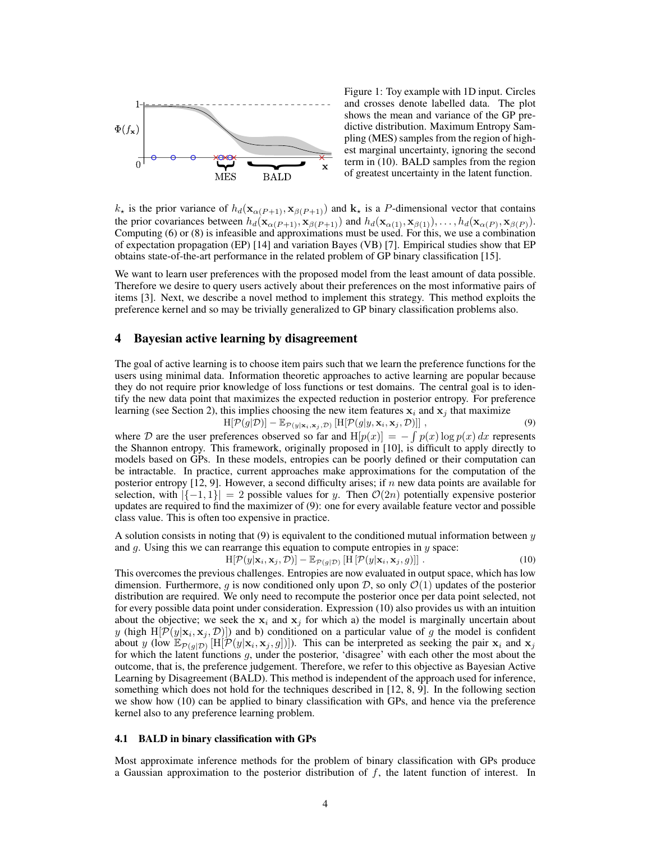

Figure 1: Toy example with 1D input. Circles and crosses denote labelled data. The plot shows the mean and variance of the GP predictive distribution. Maximum Entropy Sampling (MES) samples from the region of highest marginal uncertainty, ignoring the second term in (10). BALD samples from the region of greatest uncertainty in the latent function.

 $k_{\star}$  is the prior variance of  $h_d(\mathbf{x}_{\alpha(P+1)}, \mathbf{x}_{\beta(P+1)})$  and  $\mathbf{k}_{\star}$  is a P-dimensional vector that contains the prior covariances between  $h_d(\mathbf{x}_{\alpha(P+1)}, \mathbf{x}_{\beta(P+1)})$  and  $h_d(\mathbf{x}_{\alpha(1)}, \mathbf{x}_{\beta(1)}), \ldots, h_d(\mathbf{x}_{\alpha(P)}, \mathbf{x}_{\beta(P)})$ . Computing (6) or (8) is infeasible and approximations must be used. For this, we use a combination of expectation propagation (EP) [14] and variation Bayes (VB) [7]. Empirical studies show that EP obtains state-of-the-art performance in the related problem of GP binary classification [15].

We want to learn user preferences with the proposed model from the least amount of data possible. Therefore we desire to query users actively about their preferences on the most informative pairs of items [3]. Next, we describe a novel method to implement this strategy. This method exploits the preference kernel and so may be trivially generalized to GP binary classification problems also.

# 4 Bayesian active learning by disagreement

The goal of active learning is to choose item pairs such that we learn the preference functions for the users using minimal data. Information theoretic approaches to active learning are popular because they do not require prior knowledge of loss functions or test domains. The central goal is to identify the new data point that maximizes the expected reduction in posterior entropy. For preference learning (see Section 2), this implies choosing the new item features  $x_i$  and  $x_j$  that maximize

$$
H[\mathcal{P}(g|\mathcal{D})] - \mathbb{E}_{\mathcal{P}(y|\mathbf{x}_i,\mathbf{x}_j,\mathcal{D})} [H[\mathcal{P}(g|y,\mathbf{x}_i,\mathbf{x}_j,\mathcal{D})]]\,,\tag{9}
$$

where D are the user preferences observed so far and  $H[p(x)] = -\int p(x) \log p(x) dx$  represents the Shannon entropy. This framework, originally proposed in [10], is difficult to apply directly to models based on GPs. In these models, entropies can be poorly defined or their computation can be intractable. In practice, current approaches make approximations for the computation of the posterior entropy  $[12, 9]$ . However, a second difficulty arises; if n new data points are available for selection, with  $|\{-1, 1\}| = 2$  possible values for y. Then  $\mathcal{O}(2n)$  potentially expensive posterior updates are required to find the maximizer of (9): one for every available feature vector and possible class value. This is often too expensive in practice.

A solution consists in noting that (9) is equivalent to the conditioned mutual information between  $\eta$ and  $g$ . Using this we can rearrange this equation to compute entropies in  $y$  space:

$$
H[\mathcal{P}(y|\mathbf{x}_i,\mathbf{x}_j,\mathcal{D})] - \mathbb{E}_{\mathcal{P}(g|\mathcal{D})} [H[\mathcal{P}(y|\mathbf{x}_i,\mathbf{x}_j,g)]]. \qquad (10)
$$

This overcomes the previous challenges. Entropies are now evaluated in output space, which has low dimension. Furthermore, g is now conditioned only upon  $D$ , so only  $\mathcal{O}(1)$  updates of the posterior distribution are required. We only need to recompute the posterior once per data point selected, not for every possible data point under consideration. Expression (10) also provides us with an intuition about the objective; we seek the  $x_i$  and  $x_j$  for which a) the model is marginally uncertain about y (high  $H[\mathcal{P}(y|\mathbf{x}_i, \mathbf{x}_j, \mathcal{D})]$ ) and b) conditioned on a particular value of g the model is confident about y (low  $\mathbb{E}_{\mathcal{P}(g|\mathcal{D})}$  [H[ $\mathcal{P}(y|\mathbf{x}_i, \mathbf{x}_j, g]$ ]). This can be interpreted as seeking the pair  $\mathbf{x}_i$  and  $\mathbf{x}_j$ for which the latent functions g, under the posterior, 'disagree' with each other the most about the outcome, that is, the preference judgement. Therefore, we refer to this objective as Bayesian Active Learning by Disagreement (BALD). This method is independent of the approach used for inference, something which does not hold for the techniques described in [12, 8, 9]. In the following section we show how (10) can be applied to binary classification with GPs, and hence via the preference kernel also to any preference learning problem.

#### 4.1 BALD in binary classification with GPs

Most approximate inference methods for the problem of binary classification with GPs produce a Gaussian approximation to the posterior distribution of  $f$ , the latent function of interest. In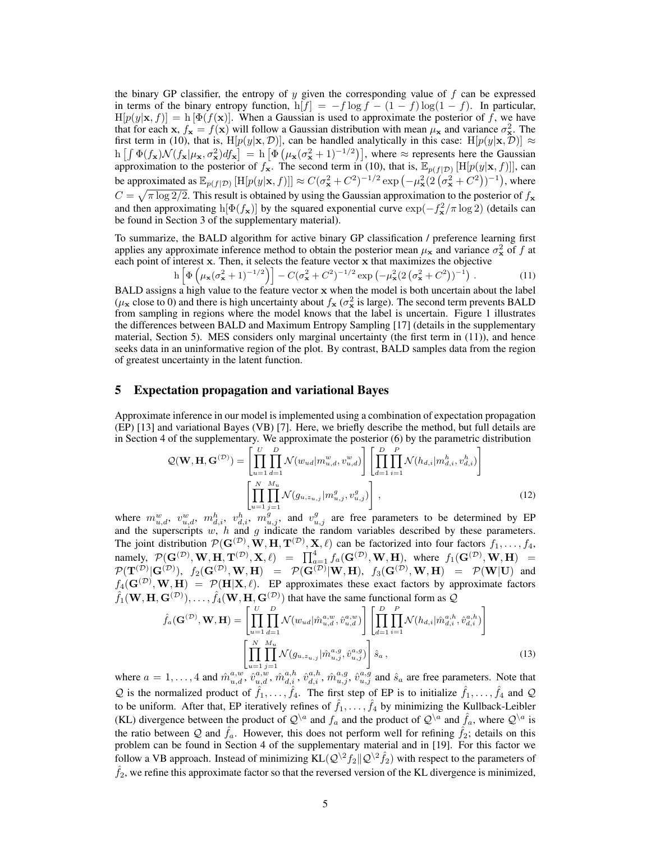the binary GP classifier, the entropy of  $y$  given the corresponding value of  $f$  can be expressed in terms of the binary entropy function,  $h[f] = -f \log f - (1 - f) \log(1 - f)$ . In particular,  $H[p(y|\mathbf{x}, f)] = h[\Phi(f(\mathbf{x}))]$ . When a Gaussian is used to approximate the posterior of f, we have that for each x,  $f_x = f(x)$  will follow a Gaussian distribution with mean  $\mu_x$  and variance  $\sigma_x^2$ . The first term in (10), that is, H[p(y|x, D)], can be handled analytically in this case: H[p(y|x, D)]  $\approx$  $h \left[ \int \Phi(f_{\mathbf{x}}) \mathcal{N}(f_{\mathbf{x}} | \mu_{\mathbf{x}}, \sigma_{\mathbf{x}}^2) df_{\mathbf{x}} \right] = h \left[ \Phi \left( \mu_{\mathbf{x}} (\sigma_{\mathbf{x}}^2 + 1)^{-1/2} \right) \right]$ , where  $\approx$  represents here the Gaussian approximation to the posterior of  $f_{\mathbf{x}}$ . The second term in (10), that is,  $\mathbb{E}_{p(f|\mathcal{D})}[\text{H}[p(y|\mathbf{x}, f)]]$ , can be approximated as  $\mathbb{E}_{p(f|\mathcal{D})} [\text{H}[p(y|\mathbf{x},f)]] \approx C(\sigma_{\mathbf{x}}^2 + C^2)^{-1/2} \exp(-\mu_{\mathbf{x}}^2 (2(\sigma_{\mathbf{x}}^2 + C^2))^{-1})$ , where  $C = \sqrt{\pi \log 2/2}$ . This result is obtained by using the Gaussian approximation to the posterior of  $f_{\bf x}$ and then approximating  $h[\Phi(f_{\mathbf{x}})]$  by the squared exponential curve  $\exp(-f_{\mathbf{x}}^2/\pi \log 2)$  (details can be found in Section 3 of the supplementary material).

To summarize, the BALD algorithm for active binary GP classification / preference learning first applies any approximate inference method to obtain the posterior mean  $\mu_{\bf x}$  and variance  $\sigma_{\bf x}^2$  of f at each point of interest x. Then, it selects the feature vector x that maximizes the objective

$$
h\left[\Phi\left(\mu_{\mathbf{x}}(\sigma_{\mathbf{x}}^2+1)^{-1/2}\right)\right]-C(\sigma_{\mathbf{x}}^2+C^2)^{-1/2}\exp\left(-\mu_{\mathbf{x}}^2(2\left(\sigma_{\mathbf{x}}^2+C^2\right))^{-1}\right). \tag{11}
$$

BALD assigns a high value to the feature vector x when the model is both uncertain about the label  $(\mu_x \text{ close to 0})$  and there is high uncertainty about  $f_x(\sigma_x^2)$  is large). The second term prevents BALD from sampling in regions where the model knows that the label is uncertain. Figure 1 illustrates the differences between BALD and Maximum Entropy Sampling [17] (details in the supplementary material, Section 5). MES considers only marginal uncertainty (the first term in (11)), and hence seeks data in an uninformative region of the plot. By contrast, BALD samples data from the region of greatest uncertainty in the latent function.

## 5 Expectation propagation and variational Bayes

Approximate inference in our model is implemented using a combination of expectation propagation (EP) [13] and variational Bayes (VB) [7]. Here, we briefly describe the method, but full details are in Section 4 of the supplementary. We approximate the posterior (6) by the parametric distribution

$$
\mathcal{Q}(\mathbf{W}, \mathbf{H}, \mathbf{G}^{(\mathcal{D})}) = \left[ \prod_{u=1}^{U} \prod_{d=1}^{D} \mathcal{N}(w_{ud} | m_{u,d}^w, v_{u,d}^w) \right] \left[ \prod_{d=1}^{D} \prod_{i=1}^{P} \mathcal{N}(h_{d,i} | m_{d,i}^h, v_{d,i}^h) \right]
$$

$$
\left[ \prod_{u=1}^{N} \prod_{j=1}^{M_u} \mathcal{N}(g_{u,z_{u,j}} | m_{u,j}^g, v_{u,j}^g) \right],
$$
(12)

where  $m_{u,d}^w$ ,  $v_{u,d}^w$ ,  $m_{d,i}^h$ ,  $v_{d,i}^h$ ,  $m_{u,j}^g$ , and  $v_{u,j}^g$  are free parameters to be determined by EP and the superscripts  $w, h$  and  $g$  indicate the random variables described by these parameters. The joint distribution  $\mathcal{P}(\mathbf{G}^{(\mathcal{D})}, \mathbf{W}, \mathbf{H}, \mathbf{T}^{(\mathcal{D})}, \mathbf{X}, \ell)$  can be factorized into four factors  $f_1, \ldots, f_4$ , namely,  $\mathcal{P}(\mathbf{G}^{(\mathcal{D})}, \mathbf{W}, \mathbf{H}, \mathbf{T}^{(\mathcal{D})}, \mathbf{X}, \ell) = \prod_{a=1}^4 f_a(\mathbf{G}^{(\mathcal{D})}, \mathbf{W}, \mathbf{H})$ , where  $f_1(\mathbf{G}^{(\mathcal{D})}, \mathbf{W}, \mathbf{H}) =$  $\mathcal{P}(\mathbf{T}^{(\mathcal{D})}|\mathbf{G}^{(\mathcal{D})}),$   $f_2(\mathbf{G}^{(\mathcal{D})}, \mathbf{W}, \mathbf{H})$  =  $\mathcal{P}(\mathbf{G}^{(\mathcal{D})}|\mathbf{W}, \mathbf{H}),$   $f_3(\mathbf{G}^{(\mathcal{D})}, \mathbf{W}, \mathbf{H})$  =  $\mathcal{P}(\mathbf{W}|\mathbf{U})$  and  $f_4(\mathbf{G}^{(\mathcal{D})}, \mathbf{W}, \mathbf{H}) = \mathcal{P}(\mathbf{H}|\mathbf{X}, \ell)$ . EP approximates these exact factors by approximate factors  $\hat{f}_1(\mathbf{W}, \mathbf{H}, \mathbf{G}^{(\mathcal{D})}), \ldots, \hat{f}_4(\mathbf{W}, \mathbf{H}, \mathbf{G}^{(\mathcal{D})})$  that have the same functional form as  $\mathcal{Q}$ 

$$
\hat{f}_a(\mathbf{G}^{(\mathcal{D})}, \mathbf{W}, \mathbf{H}) = \left[ \prod_{u=1}^U \prod_{d=1}^D \mathcal{N}(w_{ud} | \hat{m}_{u,d}^{a,w}, \hat{v}_{u,d}^{a,w}) \right] \left[ \prod_{d=1}^D \prod_{i=1}^P \mathcal{N}(h_{d,i} | \hat{m}_{d,i}^{a,h}, \hat{v}_{d,i}^{a,h}) \right]
$$
\n
$$
\left[ \prod_{u=1}^N \prod_{j=1}^{M_u} \mathcal{N}(g_{u,z_{u,j}} | \hat{m}_{u,j}^{a,g}, \hat{v}_{u,j}^{a,g}) \right] \hat{s}_a,
$$
\n(13)

where  $a=1,\ldots,4$  and  $\hat{m}_{u,d}^{a,w}$ ,  $\hat{v}_{u,d}^{a,w}$ ,  $\hat{m}_{d,i}^{a,h}$ ,  $\hat{v}_{d,i}^{a,h}$ ,  $\hat{m}_{u,j}^{a,g}$ ,  $\hat{v}_{u,j}^{a,g}$  and  $\hat{s}_a$  are free parameters. Note that Q is the normalized product of  $\hat{f}_1, \dots, \hat{f}_4$ . The first step of EP is to initialize  $\hat{f}_1, \dots, \hat{f}_4$  and Q to be uniform. After that, EP iteratively refines of  $\hat{f}_1, \ldots, \hat{f}_4$  by minimizing the Kullback-Leibler (KL) divergence between the product of  $\mathcal{Q}^{\setminus a}$  and  $f_a$  and the product of  $\mathcal{Q}^{\setminus a}$  and  $\hat{f}_a$ , where  $\mathcal{Q}^{\setminus a}$  is the ratio between Q and  $\hat{f}_a$ . However, this does not perform well for refining  $\hat{f}_2$ ; details on this problem can be found in Section 4 of the supplementary material and in [19]. For this factor we follow a VB approach. Instead of minimizing  $KL(Q^2 / 2 \cdot f_2 || Q^2 / 2 \cdot f_2)$  with respect to the parameters of  $\hat{f}_2$ , we refine this approximate factor so that the reversed version of the KL divergence is minimized,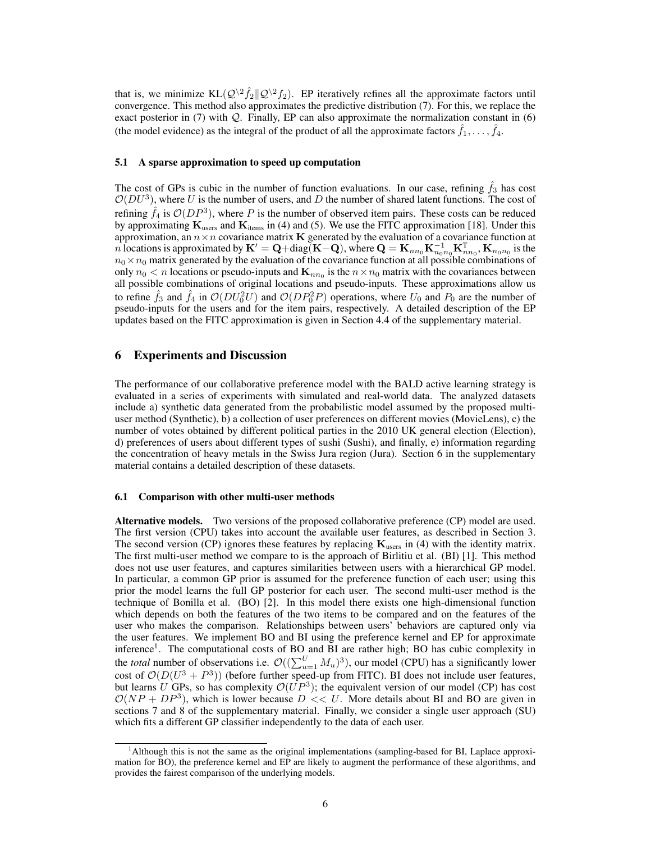that is, we minimize  $KL(Q^{\backslash 2} \hat{f}_2 || Q^{\backslash 2} f_2)$ . EP iteratively refines all the approximate factors until convergence. This method also approximates the predictive distribution (7). For this, we replace the exact posterior in  $(7)$  with Q. Finally, EP can also approximate the normalization constant in  $(6)$ (the model evidence) as the integral of the product of all the approximate factors  $\hat{f}_1, \dots, \hat{f}_4$ .

#### 5.1 A sparse approximation to speed up computation

The cost of GPs is cubic in the number of function evaluations. In our case, refining  $f_3$  has cost  $\mathcal{O}(DU^3)$ , where U is the number of users, and D the number of shared latent functions. The cost of refining  $\hat{f}_4$  is  $\mathcal{O}(DP^3)$ , where P is the number of observed item pairs. These costs can be reduced by approximating  $K_{users}$  and  $K_{items}$  in (4) and (5). We use the FITC approximation [18]. Under this approximation, an  $n \times n$  covariance matrix **K** generated by the evaluation of a covariance function at n locations is approximated by  $\mathbf{K}'=\mathbf{Q}+{\rm diag}(\mathbf{K}-\mathbf{Q})$ , where  $\mathbf{Q}=\mathbf{K}_{nn_0}\mathbf{K}_{nn_00}^{-1}\mathbf{K}_{nn_0}^{\mathbf{T}}, \mathbf{K}_{n_0n_0}$  is the  $n_0 \times n_0$  matrix generated by the evaluation of the covariance function at all possible combinations of only  $n_0 < n$  locations or pseudo-inputs and  $\mathbf{K}_{nn_0}$  is the  $n \times n_0$  matrix with the covariances between all possible combinations of original locations and pseudo-inputs. These approximations allow us to refine  $\hat{f}_3$  and  $\hat{f}_4$  in  $\mathcal{O}(DU_0^2 U)$  and  $\mathcal{O}(DP_0^2 P)$  operations, where  $U_0$  and  $P_0$  are the number of pseudo-inputs for the users and for the item pairs, respectively. A detailed description of the EP updates based on the FITC approximation is given in Section 4.4 of the supplementary material.

# 6 Experiments and Discussion

The performance of our collaborative preference model with the BALD active learning strategy is evaluated in a series of experiments with simulated and real-world data. The analyzed datasets include a) synthetic data generated from the probabilistic model assumed by the proposed multiuser method (Synthetic), b) a collection of user preferences on different movies (MovieLens), c) the number of votes obtained by different political parties in the 2010 UK general election (Election), d) preferences of users about different types of sushi (Sushi), and finally, e) information regarding the concentration of heavy metals in the Swiss Jura region (Jura). Section 6 in the supplementary material contains a detailed description of these datasets.

## 6.1 Comparison with other multi-user methods

Alternative models. Two versions of the proposed collaborative preference (CP) model are used. The first version (CPU) takes into account the available user features, as described in Section 3. The second version (CP) ignores these features by replacing  $K_{\text{users}}$  in (4) with the identity matrix. The first multi-user method we compare to is the approach of Birlitiu et al. (BI) [1]. This method does not use user features, and captures similarities between users with a hierarchical GP model. In particular, a common GP prior is assumed for the preference function of each user; using this prior the model learns the full GP posterior for each user. The second multi-user method is the technique of Bonilla et al. (BO) [2]. In this model there exists one high-dimensional function which depends on both the features of the two items to be compared and on the features of the user who makes the comparison. Relationships between users' behaviors are captured only via the user features. We implement BO and BI using the preference kernel and EP for approximate inference<sup>1</sup>. The computational costs of BO and BI are rather high; BO has cubic complexity in the *total* number of observations i.e.  $\mathcal{O}((\sum_{u=1}^U M_u)^3)$ , our model (CPU) has a significantly lower cost of  $\mathcal{O}(D(U^3 + P^3))$  (before further speed-up from FITC). BI does not include user features, but learns U GPs, so has complexity  $\mathcal{O}(UP^3)$ ; the equivalent version of our model (CP) has cost  $\mathcal{O}(NP + DP^3)$ , which is lower because  $D \ll U$ . More details about BI and BO are given in sections 7 and 8 of the supplementary material. Finally, we consider a single user approach (SU) which fits a different GP classifier independently to the data of each user.

<sup>1</sup>Although this is not the same as the original implementations (sampling-based for BI, Laplace approximation for BO), the preference kernel and EP are likely to augment the performance of these algorithms, and provides the fairest comparison of the underlying models.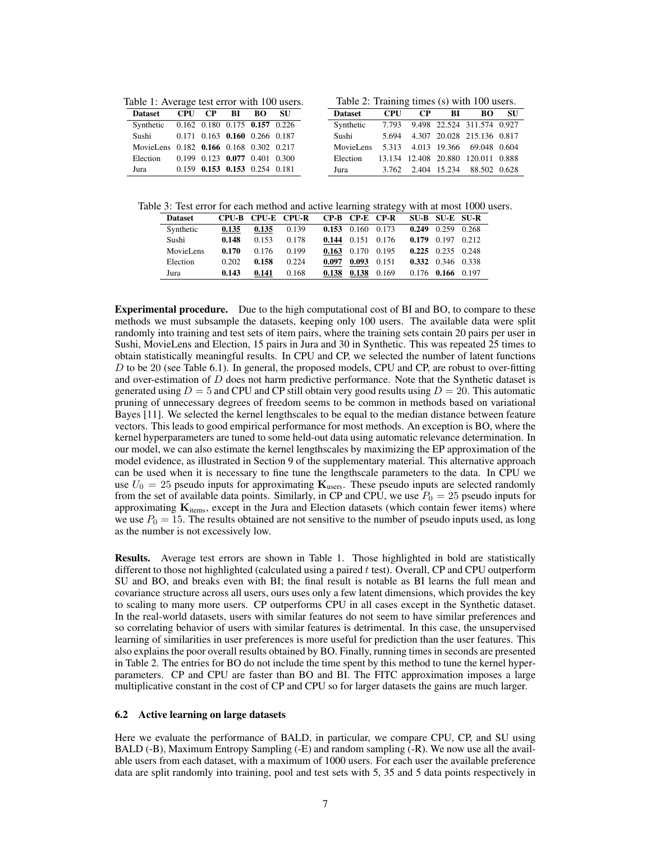Table 1: Average test error with 100 users.

| <b>Dataset</b>                          |  | CPU CP BI BO                            | - SU |
|-----------------------------------------|--|-----------------------------------------|------|
| Synthetic 0.162 0.180 0.175 0.157 0.226 |  |                                         |      |
| Sushi                                   |  | 0.171 0.163 0.160 0.266 0.187           |      |
| MovieLens 0.182 0.166 0.168 0.302 0.217 |  |                                         |      |
| Election                                |  | $0.199$ $0.123$ $0.077$ $0.401$ $0.300$ |      |
| Jura                                    |  | $0.159$ $0.153$ $0.153$ $0.254$ $0.181$ |      |

Table 2: Training times (s) with 100 users.

| <b>Dataset</b> | <b>CPU</b> | CP. | BL | <b>BO</b>                          | <b>SU</b> |
|----------------|------------|-----|----|------------------------------------|-----------|
| Synthetic      | 7.793      |     |    | 9.498 22.524 311.574 0.927         |           |
| Sushi          | 5.694      |     |    | 4.307 20.028 215.136 0.817         |           |
| MovieLens      |            |     |    | 5.313 4.013 19.366 69.048 0.604    |           |
| Election       |            |     |    | 13.134 12.408 20.880 120.011 0.888 |           |
| Jura           |            |     |    | 3.762 2.404 15.234 88.502 0.628    |           |

Table 3: Test error for each method and active learning strategy with at most 1000 users.

| <b>Dataset</b> |       | CPU-B CPU-E CPU-R |       |       | CP-B CP-E CP-R          |       | SU-B SU-E SU-R          |  |
|----------------|-------|-------------------|-------|-------|-------------------------|-------|-------------------------|--|
| Synthetic      | 0.135 | 0.135             | 0.139 |       | $0.153$ 0.160 0.173     |       | $0.249$ $0.259$ $0.268$ |  |
| Sushi          | 0.148 | 0.153             | 0.178 |       | $0.144$ $0.151$ $0.176$ |       | $0.179$ 0.197 0.212     |  |
| MovieLens      | 0.170 | 0.176             | 0.199 |       | $0.163$ 0.170 0.195     |       | $0.225$ 0.235 0.248     |  |
| Election       | 0.202 | 0.158             | 0.224 | 0.097 | 0.093                   | 0.151 | 0.332 0.346 0.338       |  |
| Jura           | 0.143 | 0.141             | 0.168 | 0.138 | 0.138                   | 0.169 | $0.176$ 0.166 0.197     |  |

Experimental procedure. Due to the high computational cost of BI and BO, to compare to these methods we must subsample the datasets, keeping only 100 users. The available data were split randomly into training and test sets of item pairs, where the training sets contain 20 pairs per user in Sushi, MovieLens and Election, 15 pairs in Jura and 30 in Synthetic. This was repeated 25 times to obtain statistically meaningful results. In CPU and CP, we selected the number of latent functions  $D$  to be 20 (see Table 6.1). In general, the proposed models, CPU and CP, are robust to over-fitting and over-estimation of  $D$  does not harm predictive performance. Note that the Synthetic dataset is generated using  $D = 5$  and CPU and CP still obtain very good results using  $D = 20$ . This automatic pruning of unnecessary degrees of freedom seems to be common in methods based on variational Bayes [11]. We selected the kernel lengthscales to be equal to the median distance between feature vectors. This leads to good empirical performance for most methods. An exception is BO, where the kernel hyperparameters are tuned to some held-out data using automatic relevance determination. In our model, we can also estimate the kernel lengthscales by maximizing the EP approximation of the model evidence, as illustrated in Section 9 of the supplementary material. This alternative approach can be used when it is necessary to fine tune the lengthscale parameters to the data. In CPU we use  $U_0 = 25$  pseudo inputs for approximating  $\mathbf{K}_{\text{users}}$ . These pseudo inputs are selected randomly from the set of available data points. Similarly, in CP and CPU, we use  $P_0 = 25$  pseudo inputs for approximating  $K_{\text{items}}$ , except in the Jura and Election datasets (which contain fewer items) where we use  $P_0 = 15$ . The results obtained are not sensitive to the number of pseudo inputs used, as long as the number is not excessively low.

Results. Average test errors are shown in Table 1. Those highlighted in bold are statistically different to those not highlighted (calculated using a paired t test). Overall, CP and CPU outperform SU and BO, and breaks even with BI; the final result is notable as BI learns the full mean and covariance structure across all users, ours uses only a few latent dimensions, which provides the key to scaling to many more users. CP outperforms CPU in all cases except in the Synthetic dataset. In the real-world datasets, users with similar features do not seem to have similar preferences and so correlating behavior of users with similar features is detrimental. In this case, the unsupervised learning of similarities in user preferences is more useful for prediction than the user features. This also explains the poor overall results obtained by BO. Finally, running times in seconds are presented in Table 2. The entries for BO do not include the time spent by this method to tune the kernel hyperparameters. CP and CPU are faster than BO and BI. The FITC approximation imposes a large multiplicative constant in the cost of CP and CPU so for larger datasets the gains are much larger.

#### 6.2 Active learning on large datasets

Here we evaluate the performance of BALD, in particular, we compare CPU, CP, and SU using BALD (-B), Maximum Entropy Sampling (-E) and random sampling (-R). We now use all the available users from each dataset, with a maximum of 1000 users. For each user the available preference data are split randomly into training, pool and test sets with 5, 35 and 5 data points respectively in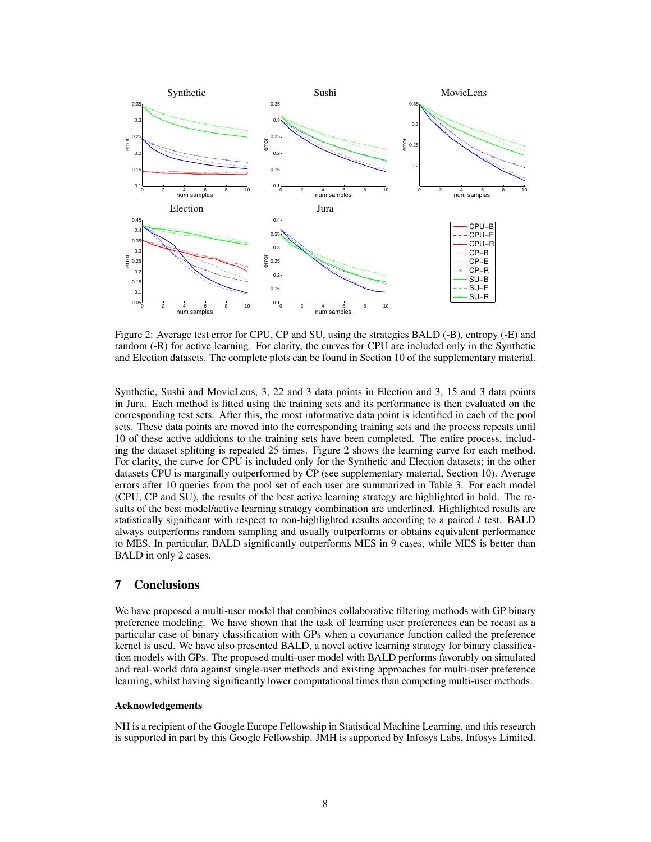

Figure 2: Average test error for CPU, CP and SU, using the strategies BALD (-B), entropy (-E) and random (-R) for active learning. For clarity, the curves for CPU are included only in the Synthetic and Election datasets. The complete plots can be found in Section 10 of the supplementary material.

Synthetic, Sushi and MovieLens, 3, 22 and 3 data points in Election and 3, 15 and 3 data points in Jura. Each method is fitted using the training sets and its performance is then evaluated on the corresponding test sets. After this, the most informative data point is identified in each of the pool sets. These data points are moved into the corresponding training sets and the process repeats until 10 of these active additions to the training sets have been completed. The entire process, including the dataset splitting is repeated 25 times. Figure 2 shows the learning curve for each method. For clarity, the curve for CPU is included only for the Synthetic and Election datasets; in the other datasets CPU is marginally outperformed by CP (see supplementary material, Section 10). Average errors after 10 queries from the pool set of each user are summarized in Table 3. For each model (CPU, CP and SU), the results of the best active learning strategy are highlighted in bold. The results of the best model/active learning strategy combination are underlined. Highlighted results are statistically significant with respect to non-highlighted results according to a paired  $t$  test. BALD always outperforms random sampling and usually outperforms or obtains equivalent performance to MES. In particular, BALD significantly outperforms MES in 9 cases, while MES is better than BALD in only 2 cases.

# 7 Conclusions

We have proposed a multi-user model that combines collaborative filtering methods with GP binary preference modeling. We have shown that the task of learning user preferences can be recast as a particular case of binary classification with GPs when a covariance function called the preference kernel is used. We have also presented BALD, a novel active learning strategy for binary classification models with GPs. The proposed multi-user model with BALD performs favorably on simulated and real-world data against single-user methods and existing approaches for multi-user preference learning, whilst having significantly lower computational times than competing multi-user methods.

#### Acknowledgements

NH is a recipient of the Google Europe Fellowship in Statistical Machine Learning, and this research is supported in part by this Google Fellowship. JMH is supported by Infosys Labs, Infosys Limited.